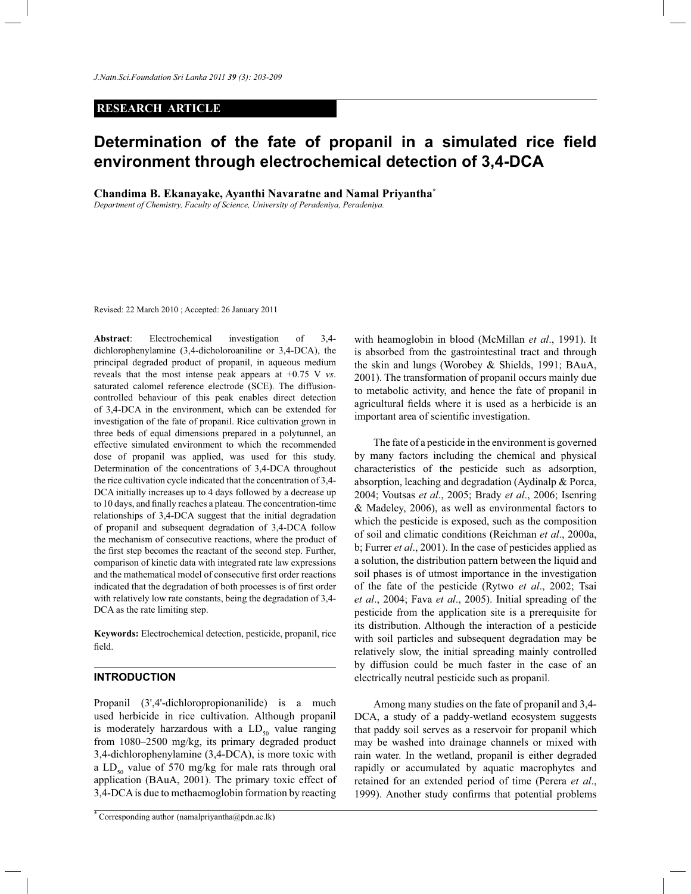# **RESEARCH ARTICLE**

# **Determination of the fate of propanil in a simulated rice field environment through electrochemical detection of 3,4-DCA**

**Chandima B. Ekanayake, Ayanthi Navaratne and Namal Priyantha\***

*Department of Chemistry, Faculty of Science, University of Peradeniya, Peradeniya.*

Revised: 22 March 2010 ; Accepted: 26 January 2011

**Abstract**: Electrochemical investigation of 3,4 dichlorophenylamine (3,4-dicholoroaniline or 3,4-DCA), the principal degraded product of propanil, in aqueous medium reveals that the most intense peak appears at +0.75 V *vs*. saturated calomel reference electrode (SCE). The diffusioncontrolled behaviour of this peak enables direct detection of 3,4-DCA in the environment, which can be extended for investigation of the fate of propanil. Rice cultivation grown in three beds of equal dimensions prepared in a polytunnel, an effective simulated environment to which the recommended dose of propanil was applied, was used for this study. Determination of the concentrations of 3,4-DCA throughout the rice cultivation cycle indicated that the concentration of 3,4- DCA initially increases up to 4 days followed by a decrease up to 10 days, and finally reaches a plateau. The concentration-time relationships of 3,4-DCA suggest that the initial degradation of propanil and subsequent degradation of 3,4-DCA follow the mechanism of consecutive reactions, where the product of the first step becomes the reactant of the second step. Further, comparison of kinetic data with integrated rate law expressions and the mathematical model of consecutive first order reactions indicated that the degradation of both processes is of first order with relatively low rate constants, being the degradation of 3,4- DCA as the rate limiting step.

**Keywords:** Electrochemical detection, pesticide, propanil, rice field.

# **INTRODUCTION**

Propanil (3',4'-dichloropropionanilide) is a much used herbicide in rice cultivation. Although propanil is moderately harzardous with a  $LD_{50}$  value ranging from 1080–2500 mg/kg, its primary degraded product 3,4-dichlorophenylamine (3,4-DCA), is more toxic with a  $LD_{50}$  value of 570 mg/kg for male rats through oral application (BAuA, 2001). The primary toxic effect of 3,4-DCA is due to methaemoglobin formation by reacting

with heamoglobin in blood (McMillan *et al*., 1991). It is absorbed from the gastrointestinal tract and through the skin and lungs (Worobey & Shields, 1991; BAuA, 2001). The transformation of propanil occurs mainly due to metabolic activity, and hence the fate of propanil in agricultural fields where it is used as a herbicide is an important area of scientific investigation.

 The fate of a pesticide in the environment is governed by many factors including the chemical and physical characteristics of the pesticide such as adsorption, absorption, leaching and degradation (Aydinalp & Porca, 2004; Voutsas *et al*., 2005; Brady *et al*., 2006; Isenring & Madeley, 2006), as well as environmental factors to which the pesticide is exposed, such as the composition of soil and climatic conditions (Reichman *et al*., 2000a, b; Furrer *et al*., 2001). In the case of pesticides applied as a solution, the distribution pattern between the liquid and soil phases is of utmost importance in the investigation of the fate of the pesticide (Rytwo *et al*., 2002; Tsai *et al*., 2004; Fava *et al*., 2005). Initial spreading of the pesticide from the application site is a prerequisite for its distribution. Although the interaction of a pesticide with soil particles and subsequent degradation may be relatively slow, the initial spreading mainly controlled by diffusion could be much faster in the case of an electrically neutral pesticide such as propanil.

 Among many studies on the fate of propanil and 3,4- DCA, a study of a paddy-wetland ecosystem suggests that paddy soil serves as a reservoir for propanil which may be washed into drainage channels or mixed with rain water. In the wetland, propanil is either degraded rapidly or accumulated by aquatic macrophytes and retained for an extended period of time (Perera *et al*., 1999). Another study confirms that potential problems

<sup>\*</sup> Corresponding author (namalpriyantha@pdn.ac.lk)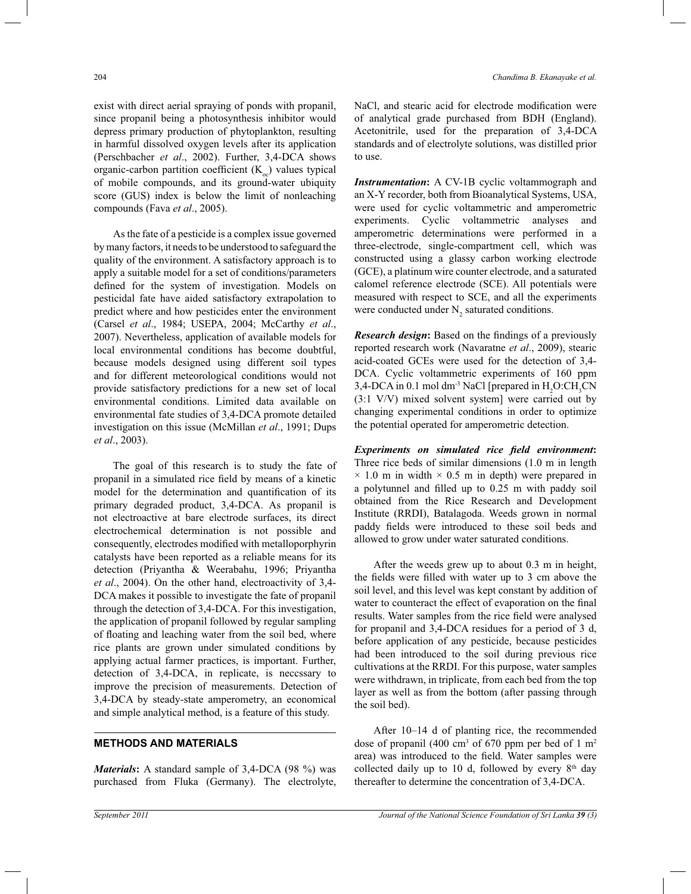exist with direct aerial spraying of ponds with propanil, since propanil being a photosynthesis inhibitor would depress primary production of phytoplankton, resulting in harmful dissolved oxygen levels after its application (Perschbacher *et al*., 2002). Further, 3,4-DCA shows organic-carbon partition coefficient  $(K_{oc})$  values typical of mobile compounds, and its ground-water ubiquity score (GUS) index is below the limit of nonleaching compounds (Fava *et al*., 2005).

 As the fate of a pesticide is a complex issue governed by many factors, it needs to be understood to safeguard the quality of the environment. A satisfactory approach is to apply a suitable model for a set of conditions/parameters defined for the system of investigation. Models on pesticidal fate have aided satisfactory extrapolation to predict where and how pesticides enter the environment (Carsel *et al*., 1984; USEPA, 2004; McCarthy *et al*., 2007). Nevertheless, application of available models for local environmental conditions has become doubtful, because models designed using different soil types and for different meteorological conditions would not provide satisfactory predictions for a new set of local environmental conditions. Limited data available on environmental fate studies of 3,4-DCA promote detailed investigation on this issue (McMillan *et al*., 1991; Dups *et al*., 2003).

 The goal of this research is to study the fate of propanil in a simulated rice field by means of a kinetic model for the determination and quantification of its primary degraded product, 3,4-DCA. As propanil is not electroactive at bare electrode surfaces, its direct electrochemical determination is not possible and consequently, electrodes modified with metalloporphyrin catalysts have been reported as a reliable means for its detection (Priyantha & Weerabahu, 1996; Priyantha *et al*., 2004). On the other hand, electroactivity of 3,4- DCA makes it possible to investigate the fate of propanil through the detection of 3,4-DCA. For this investigation, the application of propanil followed by regular sampling of floating and leaching water from the soil bed, where rice plants are grown under simulated conditions by applying actual farmer practices, is important. Further, detection of 3,4-DCA, in replicate, is neccssary to improve the precision of measurements. Detection of 3,4-DCA by steady-state amperometry, an economical and simple analytical method, is a feature of this study.

#### **METHODS AND MATERIALS**

*Materials***:** A standard sample of 3,4-DCA (98 %) was purchased from Fluka (Germany). The electrolyte, NaCl, and stearic acid for electrode modification were of analytical grade purchased from BDH (England). Acetonitrile, used for the preparation of 3,4-DCA standards and of electrolyte solutions, was distilled prior to use.

*Instrumentation***:** A CV-1B cyclic voltammograph and an X-Y recorder, both from Bioanalytical Systems, USA, were used for cyclic voltammetric and amperometric experiments. Cyclic voltammetric analyses and amperometric determinations were performed in a three-electrode, single-compartment cell, which was constructed using a glassy carbon working electrode (GCE), a platinum wire counter electrode, and a saturated calomel reference electrode (SCE). All potentials were measured with respect to SCE, and all the experiments were conducted under  $N_2$  saturated conditions.

*Research design***:** Based on the findings of a previously reported research work (Navaratne *et al*., 2009), stearic acid-coated GCEs were used for the detection of 3,4- DCA. Cyclic voltammetric experiments of 160 ppm 3,4-DCA in 0.1 mol dm<sup>-3</sup> NaCl [prepared in H<sub>2</sub>O:CH<sub>2</sub>CN] (3:1 V/V) mixed solvent system] were carried out by changing experimental conditions in order to optimize the potential operated for amperometric detection.

*Experiments on simulated rice field environment***:**  Three rice beds of similar dimensions (1.0 m in length  $\times$  1.0 m in width  $\times$  0.5 m in depth) were prepared in a polytunnel and filled up to 0.25 m with paddy soil obtained from the Rice Research and Development Institute (RRDI), Batalagoda. Weeds grown in normal paddy fields were introduced to these soil beds and allowed to grow under water saturated conditions.

 After the weeds grew up to about 0.3 m in height, the fields were filled with water up to 3 cm above the soil level, and this level was kept constant by addition of water to counteract the effect of evaporation on the final results. Water samples from the rice field were analysed for propanil and 3,4-DCA residues for a period of 3 d, before application of any pesticide, because pesticides had been introduced to the soil during previous rice cultivations at the RRDI. For this purpose, water samples were withdrawn, in triplicate, from each bed from the top layer as well as from the bottom (after passing through the soil bed).

 After 10–14 d of planting rice, the recommended dose of propanil  $(400 \text{ cm}^3 \text{ of } 670 \text{ ppm per bed of } 1 \text{ m}^2)$ area) was introduced to the field. Water samples were collected daily up to 10 d, followed by every  $8<sup>th</sup>$  day thereafter to determine the concentration of 3,4-DCA.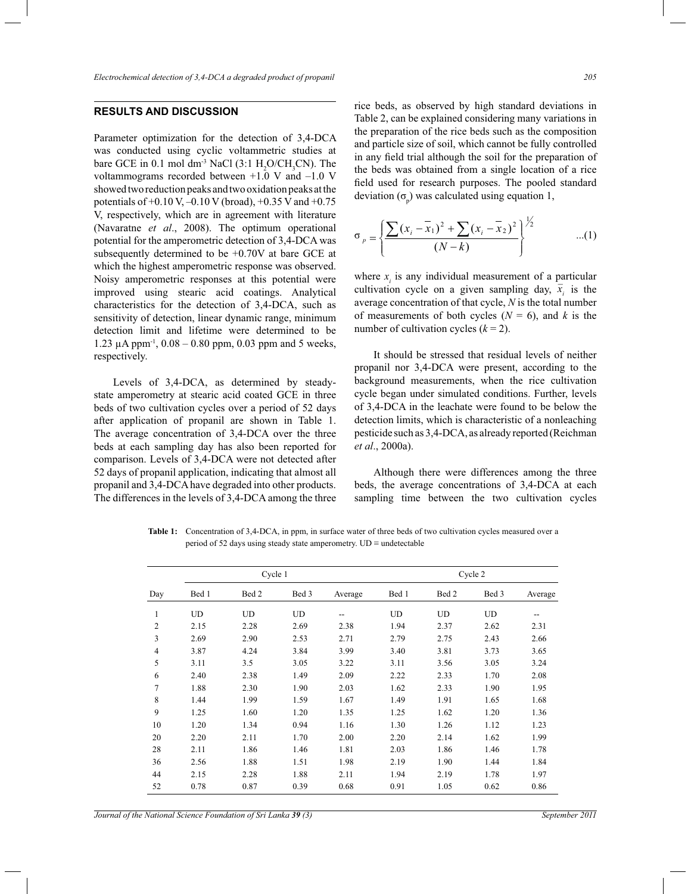# **RESULTS AND DISCUSSION #.- . #**

Parameter optimization for the detection of 3,4-DCA was conducted using cyclic voltammetric studies at was conducted using cyclic voltammetric studies at bare GCE in 0.1 mol dm<sup>-3</sup> NaCl (3:1  $H_2O/CH_3CN$ ). The bare GCE in 0.1 mol dm<sup>-3</sup> NaCl (3:1  $H_2O/CH_3CN$ ). The voltammograms recorded between  $+1.0$  V and  $-1.0$  V showed two reduction peaks and two oxidation peaks at the showed two reduction peaks and two oxidation peaks at the potentials of  $+0.10 \text{ V}, -0.10 \text{ V}$  (broad),  $+0.35 \text{ V}$  and  $+0.75$ V, respectively, which are in agreement with literature V, respectively, which are in agreement with literature (Navaratne *et al.*, 2008). The optimum operational (Navaratne *et al.*, 2008). The optimum operational potential for the amperometric detection of 3,4-DCA was subsequently determined to be  $+0.70V$  at bare GCE at subsequently determined to be  $+0.70V$  at bare GCE at which the highest amperometric response was observed. Noisy amperometric responses at this potential were Noisy amperometric responses at this potential were improved using stearic acid coatings. Analytical improved using stearic acid coatings. Analytical characteristics for the detection of 3,4-DCA, such as sensitivity of detection, linear dynamic range, minimum sensitivity of detection, linear dynamic range, minimum<br>detection limit and lifetime were determined to be 1.23 μA ppm<sup>-1</sup>,  $0.08 - 0.80$  ppm, 0.03 ppm and 5 weeks, respectively.

Levels of 3,4-DCA, as determined by steadystate amperometry at stearic acid coated GCE in three beds of two cultivation cycles over a period of 52 days after application of propanil are shown in Table 1. after application of propanil are shown in Table 1.<br>The average concentration of 3,4-DCA over the three beds at each sampling day has also been reported for beds at each sampling day has also been reported for comparison. Levels of 3,4-DCA were not detected after 52 days of propanil application, indicating that almost all propanil and 3,4-DCA have degraded into other products. propanil and 3,4-DCA have degraded into other products.<br>The differences in the levels of 3,4-DCA among the three rice beds, as observed by high standard deviations in rice beds, as observed by high standard deviations in Table 2, can be explained considering many variations in the preparation of the rice beds such as the composition and particle size of soil, which cannot be fully controlled in any field trial although the soil for the preparation of the beds was obtained from a single location of a rice field used for research purposes. The pooled standard deviation  $(\sigma_p)$  was calculated using equation 1,

$$
\sigma_p = \left\{ \frac{\sum (x_i - \overline{x}_1)^2 + \sum (x_i - \overline{x}_2)^2}{(N - k)} \right\}^{\frac{1}{2}} \qquad \qquad ...(1)
$$

where  $x_i$  is any individual measurement of a particular where  $x_i$  is any individual measurement of a particular cultivation cycle on a given sampling day,  $\overline{x_i}$  is the average concentration of that cycle, *N* is the total number of measurements of both cycles ( $N = 6$ ), and  $k$  is the number of cultivation cycles ( $k = 2$ ). number of cultivation cycles  $(k = 2)$ . where  $x_i$ 

It should be stressed that residual levels of neither propanil nor 3,4-DCA were present, according to the background measurements, when the rice cultivation cycle began under simulated conditions. Further, levels background measurements, when the rice cultivation cycle began under simulated conditions. Further, levels of 3,4-DCA in the leachate were found to be below the of 3,4-DCA in the leachate were found to be below the detection limits, which is characteristic of a nonleaching pesticide such as 3,4-DCA, as already reported (Reichman *et al.*, 2000a).

Although there were differences among the three beds, the average concentrations of 3,4-DCA at each beds, the average concentrations of 3,4-DCA at each sampling time between the two cultivation cycles

Table 1: Concentration of 3,4-DCA, in ppm, in surface water of three beds of two cultivation cycles measured over a period of 52 days using steady state amperometry.  $UD \equiv$  undetectable

| Day            | Cycle 1   |           |           |         | Cycle 2 |           |           |         |
|----------------|-----------|-----------|-----------|---------|---------|-----------|-----------|---------|
|                | Bed 1     | Bed 2     | Bed 3     | Average | Bed 1   | Bed 2     | Bed 3     | Average |
| 1              | <b>UD</b> | <b>UD</b> | <b>UD</b> | --      | UD      | <b>UD</b> | <b>UD</b> | --      |
| $\overline{c}$ | 2.15      | 2.28      | 2.69      | 2.38    | 1.94    | 2.37      | 2.62      | 2.31    |
| 3              | 2.69      | 2.90      | 2.53      | 2.71    | 2.79    | 2.75      | 2.43      | 2.66    |
| 4              | 3.87      | 4.24      | 3.84      | 3.99    | 3.40    | 3.81      | 3.73      | 3.65    |
| 5              | 3.11      | 3.5       | 3.05      | 3.22    | 3.11    | 3.56      | 3.05      | 3.24    |
| 6              | 2.40      | 2.38      | 1.49      | 2.09    | 2.22    | 2.33      | 1.70      | 2.08    |
| 7              | 1.88      | 2.30      | 1.90      | 2.03    | 1.62    | 2.33      | 1.90      | 1.95    |
| 8              | 1.44      | 1.99      | 1.59      | 1.67    | 1.49    | 1.91      | 1.65      | 1.68    |
| 9              | 1.25      | 1.60      | 1.20      | 1.35    | 1.25    | 1.62      | 1.20      | 1.36    |
| 10             | 1.20      | 1.34      | 0.94      | 1.16    | 1.30    | 1.26      | 1.12      | 1.23    |
| 20             | 2.20      | 2.11      | 1.70      | 2.00    | 2.20    | 2.14      | 1.62      | 1.99    |
| 28             | 2.11      | 1.86      | 1.46      | 1.81    | 2.03    | 1.86      | 1.46      | 1.78    |
| 36             | 2.56      | 1.88      | 1.51      | 1.98    | 2.19    | 1.90      | 1.44      | 1.84    |
| 44             | 2.15      | 2.28      | 1.88      | 2.11    | 1.94    | 2.19      | 1.78      | 1.97    |
| 52             | 0.78      | 0.87      | 0.39      | 0.68    | 0.91    | 1.05      | 0.62      | 0.86    |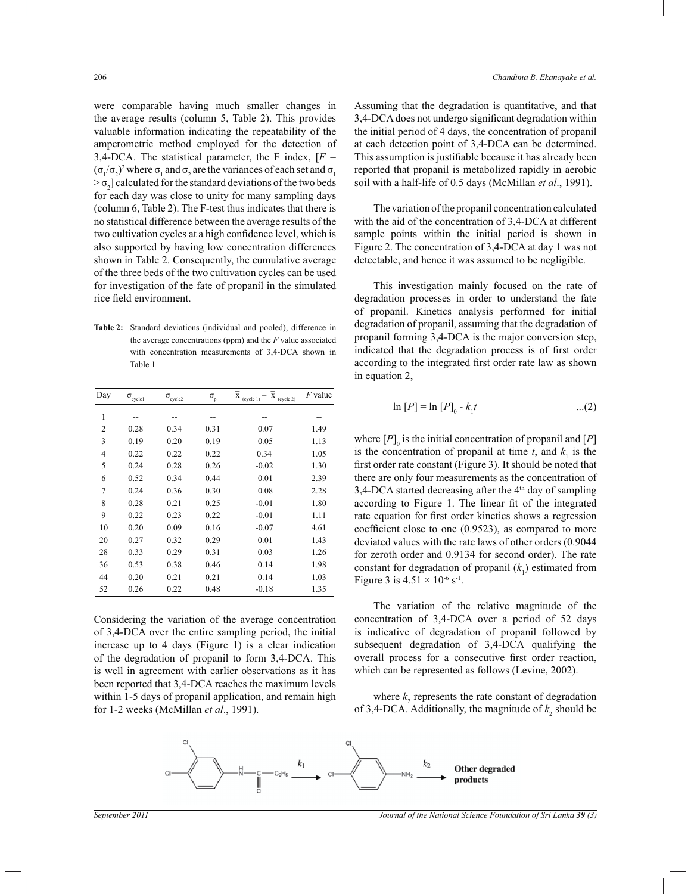were comparable having much smaller changes in the average results (column 5, Table 2). This provides valuable information indicating the repeatability of the amperometric method employed for the detection of 3,4-DCA. The statistical parameter, the F index,  $[F =$  $(\sigma_1/\sigma_2)^2$  where  $\sigma_1$  and  $\sigma_2$  are the variances of each set and  $\sigma_1$  $> \sigma_2$ ] calculated for the standard deviations of the two beds for each day was close to unity for many sampling days (column 6, Table 2). The F-test thus indicates that there is no statistical difference between the average results of the two cultivation cycles at a high confidence level, which is also supported by having low concentration differences shown in Table 2. Consequently, the cumulative average of the three beds of the two cultivation cycles can be used for investigation of the fate of propanil in the simulated rice field environment.

**Table 2:** Standard deviations (individual and pooled), difference in the average concentrations (ppm) and the *F* value associated with concentration measurements of 3,4-DCA shown in Table 1

| Day | $\sigma_{\text{cycle}1}$ | $\sigma_{\text{cycle2}}$ | $\sigma_{\rm p}$ | X<br>X<br>(cycle 2)<br>(cycle 1) | $F$ value |
|-----|--------------------------|--------------------------|------------------|----------------------------------|-----------|
| 1   |                          |                          |                  |                                  |           |
| 2   | 0.28                     | 0.34                     | 0.31             | 0.07                             | 1.49      |
| 3   | 0.19                     | 0.20                     | 0.19             | 0.05                             | 1.13      |
| 4   | 0.22                     | 0.22                     | 0.22             | 0.34                             | 1.05      |
| 5   | 0.24                     | 0.28                     | 0.26             | $-0.02$                          | 1.30      |
| 6   | 0.52                     | 0.34                     | 0.44             | 0.01                             | 2.39      |
| 7   | 0.24                     | 0.36                     | 0.30             | 0.08                             | 2.28      |
| 8   | 0.28                     | 0.21                     | 0.25             | $-0.01$                          | 1.80      |
| 9   | 0.22                     | 0.23                     | 0.22             | $-0.01$                          | 1.11      |
| 10  | 0.20                     | 0.09                     | 0.16             | $-0.07$                          | 4.61      |
| 20  | 0.27                     | 0.32                     | 0.29             | 0.01                             | 1.43      |
| 28  | 0.33                     | 0.29                     | 0.31             | 0.03                             | 1.26      |
| 36  | 0.53                     | 0.38                     | 0.46             | 0.14                             | 1.98      |
| 44  | 0.20                     | 0.21                     | 0.21             | 0.14                             | 1.03      |
| 52  | 0.26                     | 0.22                     | 0.48             | $-0.18$                          | 1.35      |

Considering the variation of the average concentration of 3,4-DCA over the entire sampling period, the initial increase up to 4 days (Figure 1) is a clear indication of the degradation of propanil to form 3,4-DCA. This is well in agreement with earlier observations as it has been reported that 3,4-DCA reaches the maximum levels within 1-5 days of propanil application, and remain high for 1-2 weeks (McMillan *et al*., 1991).

Assuming that the degradation is quantitative, and that 3,4-DCA does not undergo significant degradation within the initial period of 4 days, the concentration of propanil at each detection point of 3,4-DCA can be determined. This assumption is justifiable because it has already been reported that propanil is metabolized rapidly in aerobic soil with a half-life of 0.5 days (McMillan *et al*., 1991).

 The variation of the propanil concentration calculated with the aid of the concentration of 3,4-DCA at different sample points within the initial period is shown in Figure 2. The concentration of 3,4-DCA at day 1 was not detectable, and hence it was assumed to be negligible.

 This investigation mainly focused on the rate of degradation processes in order to understand the fate of propanil. Kinetics analysis performed for initial degradation of propanil, assuming that the degradation of propanil forming 3,4-DCA is the major conversion step, indicated that the degradation process is of first order according to the integrated first order rate law as shown in equation 2,

$$
\ln [P] = \ln [P]_0 - k_1 t \qquad \qquad \dots (2)
$$

where  $[P]_0$  is the initial concentration of propanil and  $[P]$ is the concentration of propanil at time  $t$ , and  $k<sub>1</sub>$  is the first order rate constant (Figure 3). It should be noted that there are only four measurements as the concentration of  $3,4$ -DCA started decreasing after the  $4<sup>th</sup>$  day of sampling according to Figure 1. The linear fit of the integrated rate equation for first order kinetics shows a regression coefficient close to one (0.9523), as compared to more deviated values with the rate laws of other orders (0.9044 for zeroth order and 0.9134 for second order). The rate constant for degradation of propanil (*k* 1 ) estimated from Figure 3 is  $4.51 \times 10^{-6}$  s<sup>-1</sup>.

 The variation of the relative magnitude of the concentration of 3,4-DCA over a period of 52 days is indicative of degradation of propanil followed by subsequent degradation of 3,4-DCA qualifying the overall process for a consecutive first order reaction, which can be represented as follows (Levine, 2002).

where  $k_2$  represents the rate constant of degradation of 3,4-DCA. Additionally, the magnitude of  $k_2$  should be

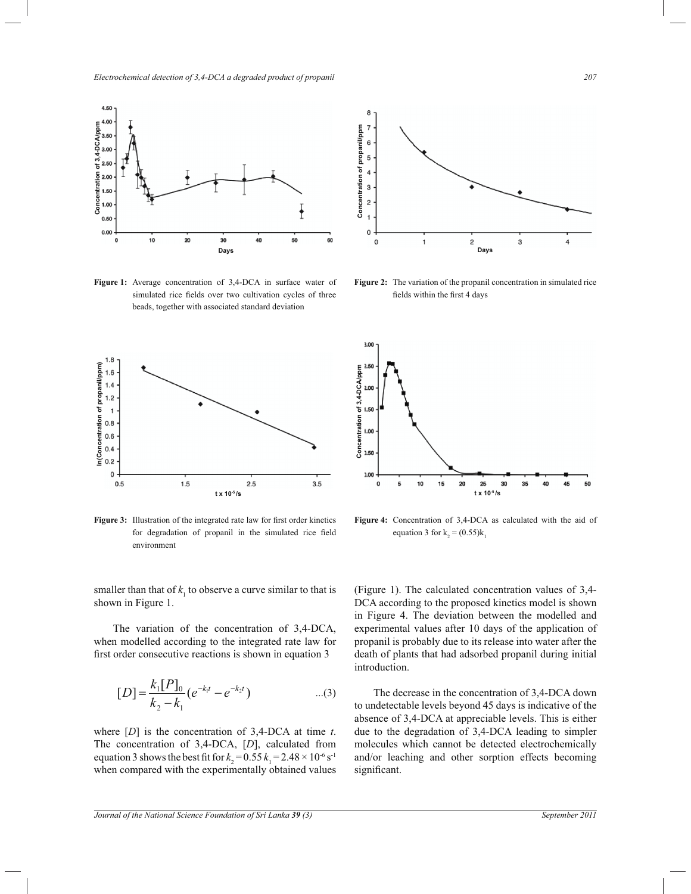*Electrochemical detection of 3,4-DCA a degraded product of propanil*  $^{207}$ 



Figure 1: Average concentration of 3,4-DCA in surface water of simulated rice fields over two cultivation cycles of three beads, together with associated standard deviation

 $\ddot{\phantom{0}}$ 



Figure 3: Illustration of the integrated rate law for first order kinetics for degradation of propanil in the simulated rice field environment

smaller than that of  $k_1$  to observe a curve similar to that is shown in Figure 1.

The variation of the concentration of  $3,4$ -DCA, when modelled according to the integrated rate law for first order consecutive reactions is shown in equation 3

$$
[D] = \frac{k_1[P]_0}{k_2 - k_1} (e^{-k_1 t} - e^{-k_2 t}) \qquad ...(3)
$$

where  $[D]$  is the concentration of 3,4-DCA at time  $t$ . The concentration of  $3,4$ -DCA,  $[D]$ , calculated from equation 3 shows the best fit for  $k_2 = 0.55$   $k_1 = 2.48 \times 10^{-6}$  s<sup>-1</sup> when compared with the experimentally obtained values



**Figure 2:** The variation of the propanil concentration in simulated rice fields within the first 4 days



**Figure 4:** Concentration of 3,4-DCA as calculated with the aid of equation 3 for  $k_2 = (0.55)k_1$ 

(Figure 1). The calculated concentration values of  $3,4-$ DCA according to the proposed kinetics model is shown in Figure 4. The deviation between the modelled and experimental values after 10 days of the application of propanil is probably due to its release into water after the death of plants that had adsorbed propanil during initial introduction.

The decrease in the concentration of 3,4-DCA down to undetectable levels beyond 45 days is indicative of the absence of 3,4-DCA at appreciable levels. This is either due to the degradation of 3,4-DCA leading to simpler molecules which cannot be detected electrochemically and/or leaching and other sorption effects becoming significant.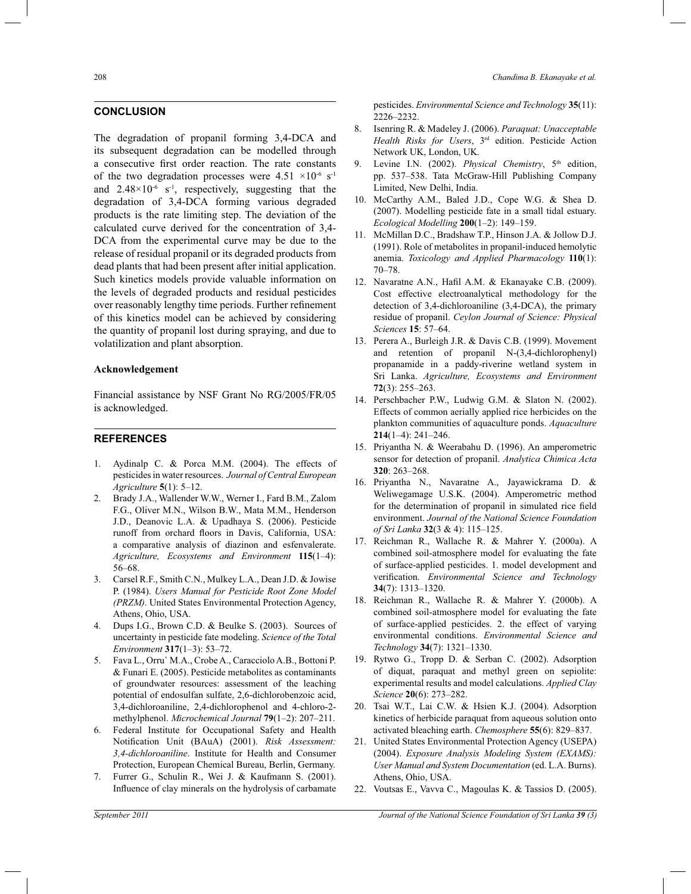### **CONCLUSION**

The degradation of propanil forming 3,4-DCA and its subsequent degradation can be modelled through a consecutive first order reaction. The rate constants of the two degradation processes were  $4.51 \times 10^{-6}$  s<sup>-1</sup> and  $2.48 \times 10^{-6}$  s<sup>-1</sup>, respectively, suggesting that the degradation of 3,4-DCA forming various degraded products is the rate limiting step. The deviation of the calculated curve derived for the concentration of 3,4- DCA from the experimental curve may be due to the release of residual propanil or its degraded products from dead plants that had been present after initial application. Such kinetics models provide valuable information on the levels of degraded products and residual pesticides over reasonably lengthy time periods. Further refinement of this kinetics model can be achieved by considering the quantity of propanil lost during spraying, and due to volatilization and plant absorption.

#### **Acknowledgement**

Financial assistance by NSF Grant No RG/2005/FR/05 is acknowledged.

#### **REFERENCES**

- 1. Aydinalp C. & Porca M.M. (2004). The effects of pesticides in water resources. *Journal of Central European Agriculture* **5**(1): 5–12.
- 2. Brady J.A., Wallender W.W., Werner I., Fard B.M., Zalom F.G., Oliver M.N., Wilson B.W., Mata M.M., Henderson J.D., Deanovic L.A. & Upadhaya S. (2006). Pesticide runoff from orchard floors in Davis, California, USA: a comparative analysis of diazinon and esfenvalerate. *Agriculture, Ecosystems and Environment* **115**(1–4): 56–68.
- 3. Carsel R.F., Smith C.N., Mulkey L.A., Dean J.D. & Jowise P. (1984). *Users Manual for Pesticide Root Zone Model (PRZM)*. United States Environmental Protection Agency, Athens, Ohio, USA.
- 4. Dups I.G., Brown C.D. & Beulke S. (2003). Sources of uncertainty in pesticide fate modeling. *Science of the Total Environment* **317**(1–3): 53–72.
- 5. Fava L., Orru` M.A., Crobe A., Caracciolo A.B., Bottoni P. & Funari E. (2005). Pesticide metabolites as contaminants of groundwater resources: assessment of the leaching potential of endosulfan sulfate, 2,6-dichlorobenzoic acid, 3,4-dichloroaniline, 2,4-dichlorophenol and 4-chloro-2 methylphenol. *Microchemical Journal* **79**(1–2): 207–211.
- 6. Federal Institute for Occupational Safety and Health Notification Unit (BAuA) (2001). *Risk Assessment: 3,4-dichloroaniline*. Institute for Health and Consumer Protection, European Chemical Bureau, Berlin, Germany.
- 7. Furrer G., Schulin R., Wei J. & Kaufmann S. (2001). Influence of clay minerals on the hydrolysis of carbamate

pesticides. *Environmental Science and Technology* **35**(11): 2226–2232.

- 8. Isenring R. & Madeley J. (2006). *Paraquat: Unacceptable Health Risks for Users*, 3rd edition. Pesticide Action Network UK, London, UK.
- 9. Levine I.N. (2002). *Physical Chemistry*, 5<sup>th</sup> edition, pp. 537–538. Tata McGraw-Hill Publishing Company Limited, New Delhi, India.
- 10. McCarthy A.M., Baled J.D., Cope W.G. & Shea D. (2007). Modelling pesticide fate in a small tidal estuary. *Ecological Modelling* **200**(1–2): 149–159.
- 11. McMillan D.C., Bradshaw T.P., Hinson J.A. & Jollow D.J. (1991). Role of metabolites in propanil-induced hemolytic anemia. *Toxicology and Applied Pharmacology* **110**(1): 70–78.
- 12. Navaratne A.N., Hafil A.M. & Ekanayake C.B. (2009). Cost effective electroanalytical methodology for the detection of 3,4-dichloroaniline (3,4-DCA), the primary residue of propanil. *Ceylon Journal of Science: Physical Sciences* **15**: 57–64.
- 13. Perera A., Burleigh J.R. & Davis C.B. (1999). Movement and retention of propanil N-(3,4-dichlorophenyl) propanamide in a paddy-riverine wetland system in Sri Lanka. *Agriculture, Ecosystems and Environment* **72**(3): 255–263.
- 14. Perschbacher P.W., Ludwig G.M. & Slaton N. (2002). Effects of common aerially applied rice herbicides on the plankton communities of aquaculture ponds. *Aquaculture* **214**(1–4): 241–246.
- 15. Priyantha N. & Weerabahu D. (1996). An amperometric sensor for detection of propanil. *Analytica Chimica Acta* **320**: 263–268.
- 16. Priyantha N., Navaratne A., Jayawickrama D. & Weliwegamage U.S.K. (2004). Amperometric method for the determination of propanil in simulated rice field environment. *Journal of the National Science Foundation of Sri Lanka* **32**(3 & 4): 115–125.
- 17. Reichman R., Wallache R. & Mahrer Y. (2000a). A combined soil-atmosphere model for evaluating the fate of surface-applied pesticides. 1. model development and verification. *Environmental Science and Technology* **34**(7): 1313–1320.
- 18. Reichman R., Wallache R. & Mahrer Y. (2000b). A combined soil-atmosphere model for evaluating the fate of surface-applied pesticides. 2. the effect of varying environmental conditions. *Environmental Science and Technology* **34**(7): 1321–1330.
- 19. Rytwo G., Tropp D. & Serban C. (2002). Adsorption of diquat, paraquat and methyl green on sepiolite: experimental results and model calculations. *Applied Clay Science* **20**(6): 273–282.
- 20. Tsai W.T., Lai C.W. & Hsien K.J. (2004). Adsorption kinetics of herbicide paraquat from aqueous solution onto activated bleaching earth. *Chemosphere* **55**(6): 829–837.
- 21. United States Environmental Protection Agency (USEPA) (2004). *Exposure Analysis Modeling System (EXAMS): User Manual and System Documentation* (ed. L.A. Burns). Athens, Ohio, USA.
- 22. Voutsas E., Vavva C., Magoulas K. & Tassios D. (2005).